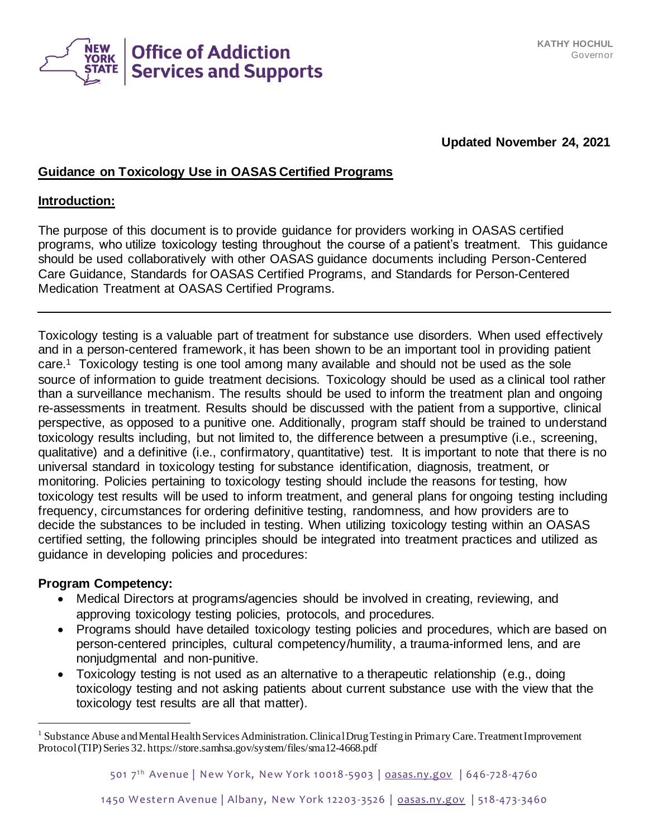

### **Updated November 24, 2021**

#### **Guidance on Toxicology Use in OASAS Certified Programs**

#### **Introduction:**

The purpose of this document is to provide guidance for providers working in OASAS certified programs, who utilize toxicology testing throughout the course of a patient's treatment. This guidance should be used collaboratively with other OASAS guidance documents including Person-Centered Care Guidance, Standards for OASAS Certified Programs, and Standards for Person-Centered Medication Treatment at OASAS Certified Programs.

Toxicology testing is a valuable part of treatment for substance use disorders. When used effectively and in a person-centered framework, it has been shown to be an important tool in providing patient care.<sup>1</sup> Toxicology testing is one tool among many available and should not be used as the sole source of information to guide treatment decisions. Toxicology should be used as a clinical tool rather than a surveillance mechanism. The results should be used to inform the treatment plan and ongoing re-assessments in treatment. Results should be discussed with the patient from a supportive, clinical perspective, as opposed to a punitive one. Additionally, program staff should be trained to understand toxicology results including, but not limited to, the difference between a presumptive (i.e., screening, qualitative) and a definitive (i.e., confirmatory, quantitative) test. It is important to note that there is no universal standard in toxicology testing for substance identification, diagnosis, treatment, or monitoring. Policies pertaining to toxicology testing should include the reasons for testing, how toxicology test results will be used to inform treatment, and general plans for ongoing testing including frequency, circumstances for ordering definitive testing, randomness, and how providers are to decide the substances to be included in testing. When utilizing toxicology testing within an OASAS certified setting, the following principles should be integrated into treatment practices and utilized as guidance in developing policies and procedures:

#### **Program Competency:**

- Medical Directors at programs/agencies should be involved in creating, reviewing, and approving toxicology testing policies, protocols, and procedures.
- Programs should have detailed toxicology testing policies and procedures, which are based on person-centered principles, cultural competency/humility, a trauma-informed lens, and are nonjudgmental and non-punitive.
- Toxicology testing is not used as an alternative to a therapeutic relationship (e.g., doing toxicology testing and not asking patients about current substance use with the view that the toxicology test results are all that matter).

<sup>&</sup>lt;sup>1</sup> Substance Abuse and Mental Health Services Administration. Clinical Drug Testing in Primary Care. Treatment Improvement Protocol (TIP) Series 32. https://store.samhsa.gov/system/files/sma12-4668.pdf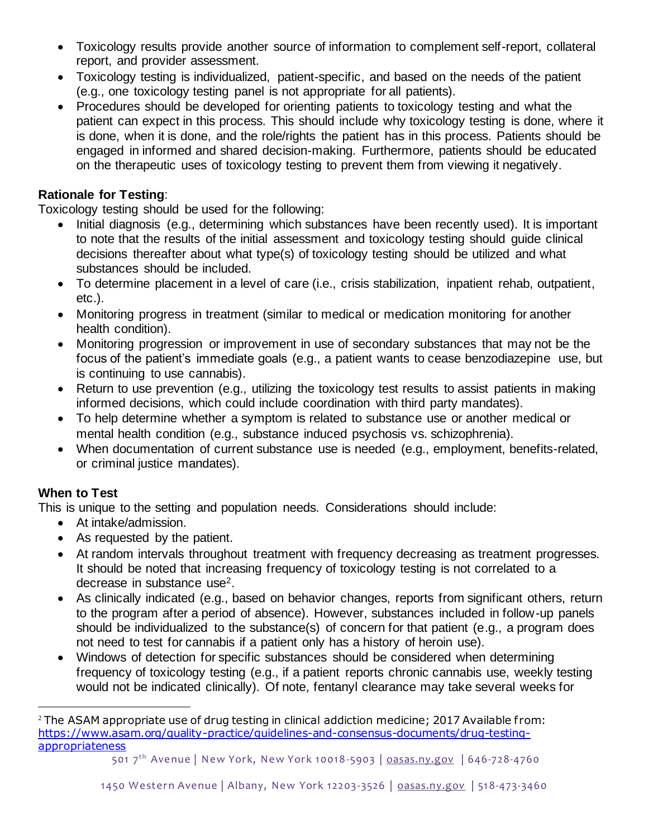- Toxicology results provide another source of information to complement self-report, collateral report, and provider assessment.
- Toxicology testing is individualized, patient-specific, and based on the needs of the patient (e.g., one toxicology testing panel is not appropriate for all patients).
- Procedures should be developed for orienting patients to toxicology testing and what the patient can expect in this process. This should include why toxicology testing is done, where it is done, when it is done, and the role/rights the patient has in this process. Patients should be engaged in informed and shared decision-making. Furthermore, patients should be educated on the therapeutic uses of toxicology testing to prevent them from viewing it negatively.

### **Rationale for Testing**:

Toxicology testing should be used for the following:

- Initial diagnosis (e.g., determining which substances have been recently used). It is important to note that the results of the initial assessment and toxicology testing should guide clinical decisions thereafter about what type(s) of toxicology testing should be utilized and what substances should be included.
- To determine placement in a level of care (i.e., crisis stabilization, inpatient rehab, outpatient, etc.).
- Monitoring progress in treatment (similar to medical or medication monitoring for another health condition).
- Monitoring progression or improvement in use of secondary substances that may not be the focus of the patient's immediate goals (e.g., a patient wants to cease benzodiazepine use, but is continuing to use cannabis).
- Return to use prevention (e.g., utilizing the toxicology test results to assist patients in making informed decisions, which could include coordination with third party mandates).
- To help determine whether a symptom is related to substance use or another medical or mental health condition (e.g., substance induced psychosis vs. schizophrenia).
- When documentation of current substance use is needed (e.g., employment, benefits-related, or criminal justice mandates).

### **When to Test**

This is unique to the setting and population needs. Considerations should include:

- At intake/admission.
- As requested by the patient.
- At random intervals throughout treatment with frequency decreasing as treatment progresses. It should be noted that increasing frequency of toxicology testing is not correlated to a decrease in substance use2.
- As clinically indicated (e.g., based on behavior changes, reports from significant others, return to the program after a period of absence). However, substances included in follow-up panels should be individualized to the substance(s) of concern for that patient (e.g., a program does not need to test for cannabis if a patient only has a history of heroin use).
- Windows of detection for specific substances should be considered when determining frequency of toxicology testing (e.g., if a patient reports chronic cannabis use, weekly testing would not be indicated clinically). Of note, fentanyl clearance may take several weeks for

 $2$  The ASAM appropriate use of drug testing in clinical addiction medicine; 2017 Available from: [https://www.asam.org/quality-practice/guidelines-and-consensus-documents/drug-testing](https://www.asam.org/quality-practice/guidelines-and-consensus-documents/drug-testing-appropriateness)[appropriateness](https://www.asam.org/quality-practice/guidelines-and-consensus-documents/drug-testing-appropriateness)

<sup>501 7&</sup>lt;sup>th</sup> Avenue | New York, New York 10018-5903 | [oasas.ny.gov](http://www.oasas.ny.gov/) | 646-728-4760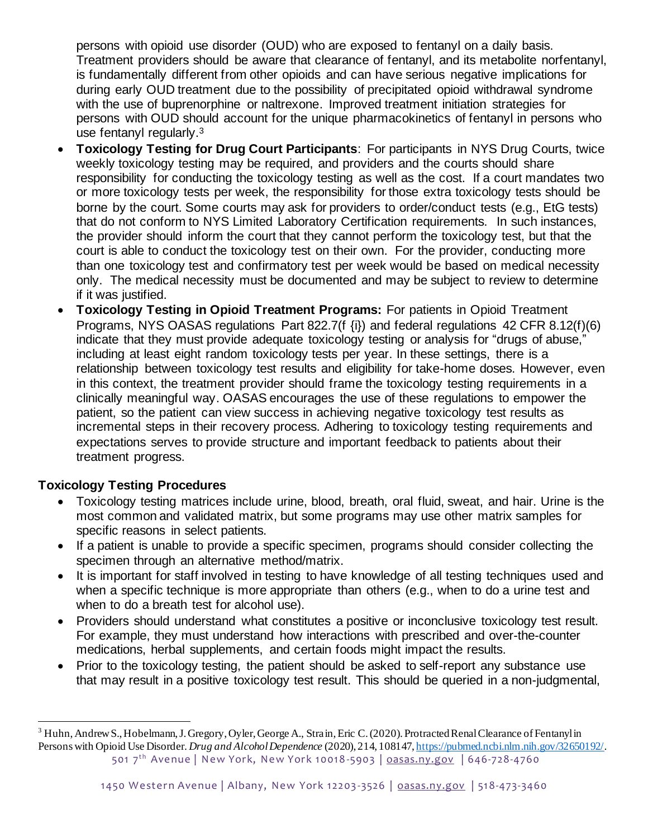persons with opioid use disorder (OUD) who are exposed to fentanyl on a daily basis. Treatment providers should be aware that clearance of fentanyl, and its metabolite norfentanyl, is fundamentally different from other opioids and can have serious negative implications for during early OUD treatment due to the possibility of precipitated opioid withdrawal syndrome with the use of buprenorphine or naltrexone. Improved treatment initiation strategies for persons with OUD should account for the unique pharmacokinetics of fentanyl in persons who use fentanyl regularly.<sup>3</sup>

- **Toxicology Testing for Drug Court Participants**: For participants in NYS Drug Courts, twice weekly toxicology testing may be required, and providers and the courts should share responsibility for conducting the toxicology testing as well as the cost. If a court mandates two or more toxicology tests per week, the responsibility for those extra toxicology tests should be borne by the court. Some courts may ask for providers to order/conduct tests (e.g., EtG tests) that do not conform to NYS Limited Laboratory Certification requirements. In such instances, the provider should inform the court that they cannot perform the toxicology test, but that the court is able to conduct the toxicology test on their own. For the provider, conducting more than one toxicology test and confirmatory test per week would be based on medical necessity only. The medical necessity must be documented and may be subject to review to determine if it was justified.
- **Toxicology Testing in Opioid Treatment Programs:** For patients in Opioid Treatment Programs, NYS OASAS regulations Part 822.7(f {i}) and federal regulations 42 CFR 8.12(f)(6) indicate that they must provide adequate toxicology testing or analysis for "drugs of abuse," including at least eight random toxicology tests per year. In these settings, there is a relationship between toxicology test results and eligibility for take-home doses. However, even in this context, the treatment provider should frame the toxicology testing requirements in a clinically meaningful way. OASAS encourages the use of these regulations to empower the patient, so the patient can view success in achieving negative toxicology test results as incremental steps in their recovery process. Adhering to toxicology testing requirements and expectations serves to provide structure and important feedback to patients about their treatment progress.

#### **Toxicology Testing Procedures**

- Toxicology testing matrices include urine, blood, breath, oral fluid, sweat, and hair. Urine is the most common and validated matrix, but some programs may use other matrix samples for specific reasons in select patients.
- If a patient is unable to provide a specific specimen, programs should consider collecting the specimen through an alternative method/matrix.
- It is important for staff involved in testing to have knowledge of all testing techniques used and when a specific technique is more appropriate than others (e.g., when to do a urine test and when to do a breath test for alcohol use).
- Providers should understand what constitutes a positive or inconclusive toxicology test result. For example, they must understand how interactions with prescribed and over-the-counter medications, herbal supplements, and certain foods might impact the results.
- Prior to the toxicology testing, the patient should be asked to self-report any substance use that may result in a positive toxicology test result. This should be queried in a non-judgmental,

<sup>501 7&</sup>lt;sup>th</sup> Avenue | New York, New York 10018-5903 | [oasas.ny.gov](http://www.oasas.ny.gov/) | 646-728-4760 <sup>3</sup> Huhn, Andrew S., Hobelmann, J. Gregory, Oyler, George A., Strain, Eric C. (2020). Protracted Renal Clearance of Fentanyl in Persons with Opioid Use Disorder. *Drug and Alcohol Dependence* (2020), 214, 10814[7, https://pubmed.ncbi.nlm.nih.gov/32650192/](https://pubmed.ncbi.nlm.nih.gov/32650192/).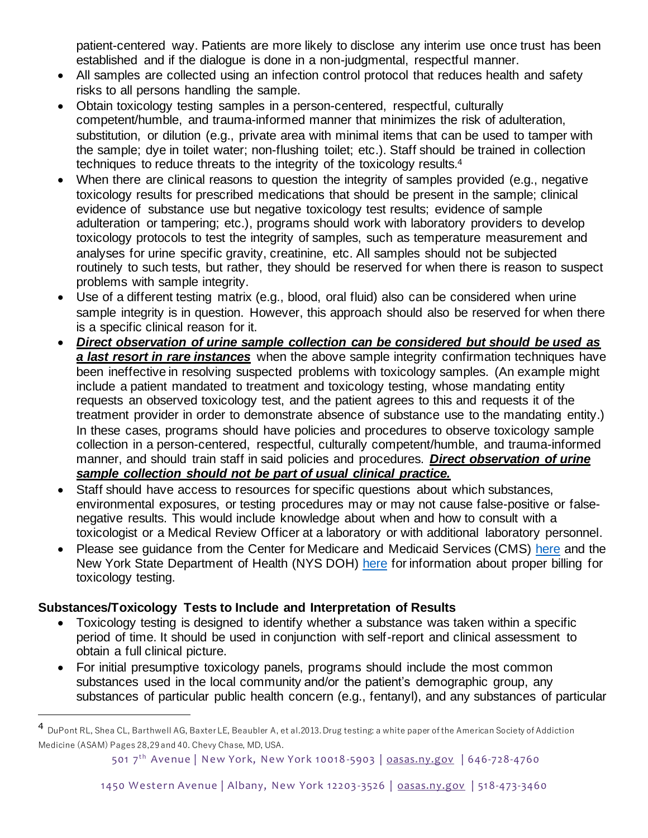patient-centered way. Patients are more likely to disclose any interim use once trust has been established and if the dialogue is done in a non-judgmental, respectful manner.

- All samples are collected using an infection control protocol that reduces health and safety risks to all persons handling the sample.
- Obtain toxicology testing samples in a person-centered, respectful, culturally competent/humble, and trauma-informed manner that minimizes the risk of adulteration, substitution, or dilution (e.g., private area with minimal items that can be used to tamper with the sample; dye in toilet water; non-flushing toilet; etc.). Staff should be trained in collection techniques to reduce threats to the integrity of the toxicology results. 4
- When there are clinical reasons to question the integrity of samples provided (e.g., negative toxicology results for prescribed medications that should be present in the sample; clinical evidence of substance use but negative toxicology test results; evidence of sample adulteration or tampering; etc.), programs should work with laboratory providers to develop toxicology protocols to test the integrity of samples, such as temperature measurement and analyses for urine specific gravity, creatinine, etc. All samples should not be subjected routinely to such tests, but rather, they should be reserved for when there is reason to suspect problems with sample integrity.
- Use of a different testing matrix (e.g., blood, oral fluid) also can be considered when urine sample integrity is in question. However, this approach should also be reserved for when there is a specific clinical reason for it.
- *Direct observation of urine sample collection can be considered but should be used as a last resort in rare instances* when the above sample integrity confirmation techniques have been ineffective in resolving suspected problems with toxicology samples. (An example might include a patient mandated to treatment and toxicology testing, whose mandating entity requests an observed toxicology test, and the patient agrees to this and requests it of the treatment provider in order to demonstrate absence of substance use to the mandating entity.) In these cases, programs should have policies and procedures to observe toxicology sample collection in a person-centered, respectful, culturally competent/humble, and trauma-informed manner, and should train staff in said policies and procedures. *Direct observation of urine sample collection should not be part of usual clinical practice.*
- Staff should have access to resources for specific questions about which substances, environmental exposures, or testing procedures may or may not cause false-positive or falsenegative results. This would include knowledge about when and how to consult with a toxicologist or a Medical Review Officer at a laboratory or with additional laboratory personnel.
- Please see guidance from the Center for Medicare and Medicaid Services (CMS) [here](https://www.cms.gov/medicare-coverage-database/view/lcd.aspx?LCDId=35006&DocID=L35006) and the New York State Department of Health (NYS DOH) [here](https://www.health.ny.gov/health_care/medicaid/program/update/2017/2017-04.htm#drugtest) for information about proper billing for toxicology testing.

### **Substances/Toxicology Tests to Include and Interpretation of Results**

- Toxicology testing is designed to identify whether a substance was taken within a specific period of time. It should be used in conjunction with self-report and clinical assessment to obtain a full clinical picture.
- For initial presumptive toxicology panels, programs should include the most common substances used in the local community and/or the patient's demographic group, any substances of particular public health concern (e.g., fentanyl), and any substances of particular

<sup>4</sup> DuPont RL, Shea CL, Barthwell AG, Baxter LE, Beaubler A, et al.2013. Drug testing: a white paper of the American Society of Addiction Medicine (ASAM) Pages 28,29 and 40. Chevy Chase, MD, USA.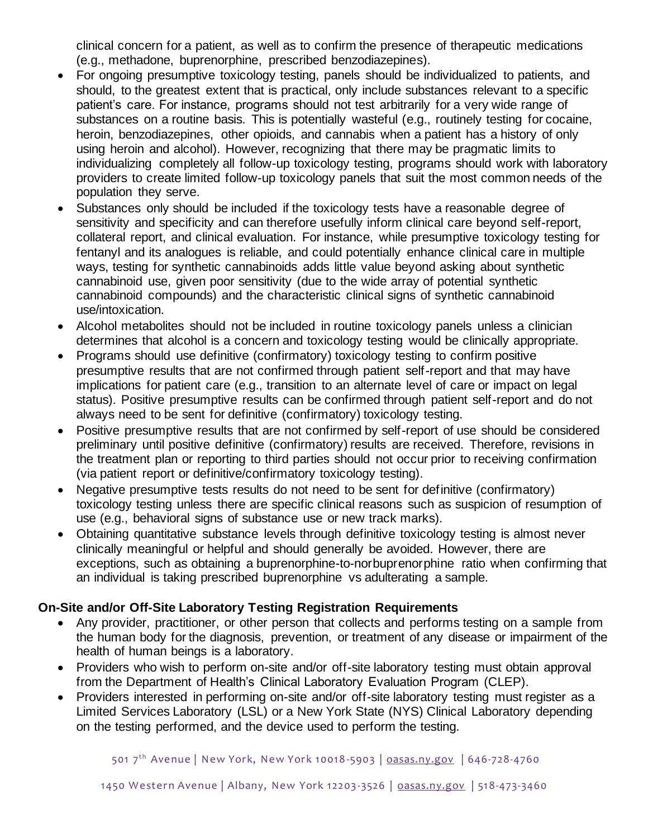clinical concern for a patient, as well as to confirm the presence of therapeutic medications (e.g., methadone, buprenorphine, prescribed benzodiazepines).

- For ongoing presumptive toxicology testing, panels should be individualized to patients, and should, to the greatest extent that is practical, only include substances relevant to a specific patient's care. For instance, programs should not test arbitrarily for a very wide range of substances on a routine basis. This is potentially wasteful (e.g., routinely testing for cocaine, heroin, benzodiazepines, other opioids, and cannabis when a patient has a history of only using heroin and alcohol). However, recognizing that there may be pragmatic limits to individualizing completely all follow-up toxicology testing, programs should work with laboratory providers to create limited follow-up toxicology panels that suit the most common needs of the population they serve.
- Substances only should be included if the toxicology tests have a reasonable degree of sensitivity and specificity and can therefore usefully inform clinical care beyond self-report, collateral report, and clinical evaluation. For instance, while presumptive toxicology testing for fentanyl and its analogues is reliable, and could potentially enhance clinical care in multiple ways, testing for synthetic cannabinoids adds little value beyond asking about synthetic cannabinoid use, given poor sensitivity (due to the wide array of potential synthetic cannabinoid compounds) and the characteristic clinical signs of synthetic cannabinoid use/intoxication.
- Alcohol metabolites should not be included in routine toxicology panels unless a clinician determines that alcohol is a concern and toxicology testing would be clinically appropriate.
- Programs should use definitive (confirmatory) toxicology testing to confirm positive presumptive results that are not confirmed through patient self-report and that may have implications for patient care (e.g., transition to an alternate level of care or impact on legal status). Positive presumptive results can be confirmed through patient self-report and do not always need to be sent for definitive (confirmatory) toxicology testing.
- Positive presumptive results that are not confirmed by self-report of use should be considered preliminary until positive definitive (confirmatory) results are received. Therefore, revisions in the treatment plan or reporting to third parties should not occur prior to receiving confirmation (via patient report or definitive/confirmatory toxicology testing).
- Negative presumptive tests results do not need to be sent for definitive (confirmatory) toxicology testing unless there are specific clinical reasons such as suspicion of resumption of use (e.g., behavioral signs of substance use or new track marks).
- Obtaining quantitative substance levels through definitive toxicology testing is almost never clinically meaningful or helpful and should generally be avoided. However, there are exceptions, such as obtaining a buprenorphine-to-norbuprenorphine ratio when confirming that an individual is taking prescribed buprenorphine vs adulterating a sample.

### **On-Site and/or Off-Site Laboratory Testing Registration Requirements**

- Any provider, practitioner, or other person that collects and performs testing on a sample from the human body for the diagnosis, prevention, or treatment of any disease or impairment of the health of human beings is a laboratory.
- Providers who wish to perform on-site and/or off-site laboratory testing must obtain approval from the Department of Health's Clinical Laboratory Evaluation Program (CLEP).
- Providers interested in performing on-site and/or off-site laboratory testing must register as a Limited Services Laboratory (LSL) or a New York State (NYS) Clinical Laboratory depending on the testing performed, and the device used to perform the testing.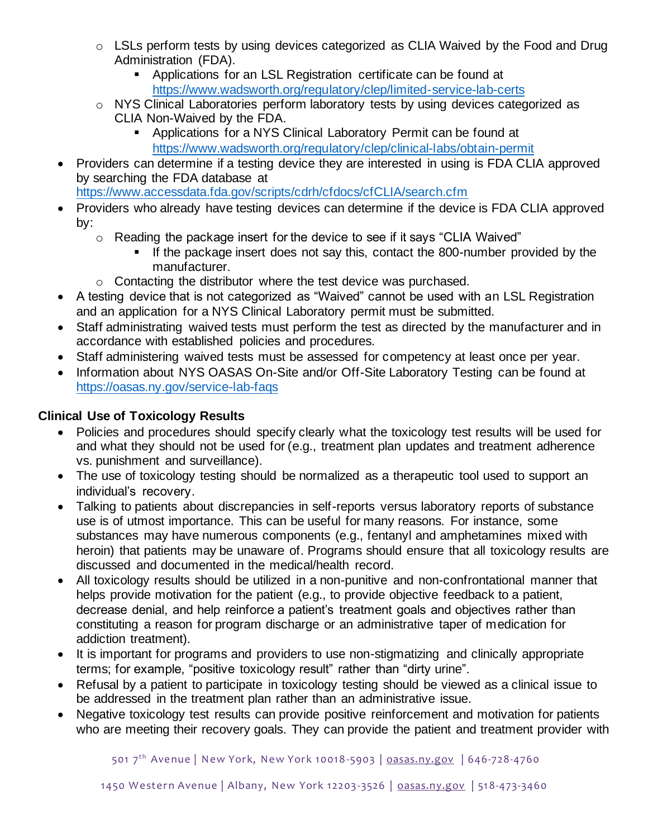- o LSLs perform tests by using devices categorized as CLIA Waived by the Food and Drug Administration (FDA).
	- Applications for an LSL Registration certificate can be found at <https://www.wadsworth.org/regulatory/clep/limited-service-lab-certs>
- o NYS Clinical Laboratories perform laboratory tests by using devices categorized as CLIA Non-Waived by the FDA.
	- Applications for a NYS Clinical Laboratory Permit can be found at <https://www.wadsworth.org/regulatory/clep/clinical-labs/obtain-permit>
- Providers can determine if a testing device they are interested in using is FDA CLIA approved by searching the FDA database at

<https://www.accessdata.fda.gov/scripts/cdrh/cfdocs/cfCLIA/search.cfm>

- Providers who already have testing devices can determine if the device is FDA CLIA approved by:
	- o Reading the package insert for the device to see if it says "CLIA Waived"
		- If the package insert does not say this, contact the 800-number provided by the manufacturer.
	- o Contacting the distributor where the test device was purchased.
- A testing device that is not categorized as "Waived" cannot be used with an LSL Registration and an application for a NYS Clinical Laboratory permit must be submitted.
- Staff administrating waived tests must perform the test as directed by the manufacturer and in accordance with established policies and procedures.
- Staff administering waived tests must be assessed for competency at least once per year.
- Information about NYS OASAS On-Site and/or Off-Site Laboratory Testing can be found at <https://oasas.ny.gov/service-lab-faqs>

# **Clinical Use of Toxicology Results**

- Policies and procedures should specify clearly what the toxicology test results will be used for and what they should not be used for (e.g., treatment plan updates and treatment adherence vs. punishment and surveillance).
- The use of toxicology testing should be normalized as a therapeutic tool used to support an individual's recovery.
- Talking to patients about discrepancies in self-reports versus laboratory reports of substance use is of utmost importance. This can be useful for many reasons. For instance, some substances may have numerous components (e.g., fentanyl and amphetamines mixed with heroin) that patients may be unaware of. Programs should ensure that all toxicology results are discussed and documented in the medical/health record.
- All toxicology results should be utilized in a non-punitive and non-confrontational manner that helps provide motivation for the patient (e.g., to provide objective feedback to a patient, decrease denial, and help reinforce a patient's treatment goals and objectives rather than constituting a reason for program discharge or an administrative taper of medication for addiction treatment).
- It is important for programs and providers to use non-stigmatizing and clinically appropriate terms; for example, "positive toxicology result" rather than "dirty urine".
- Refusal by a patient to participate in toxicology testing should be viewed as a clinical issue to be addressed in the treatment plan rather than an administrative issue.
- Negative toxicology test results can provide positive reinforcement and motivation for patients who are meeting their recovery goals. They can provide the patient and treatment provider with

501 7<sup>th</sup> Avenue | New York, New York 10018-5903 | [oasas.ny.gov](http://www.oasas.ny.gov/) | 646-728-4760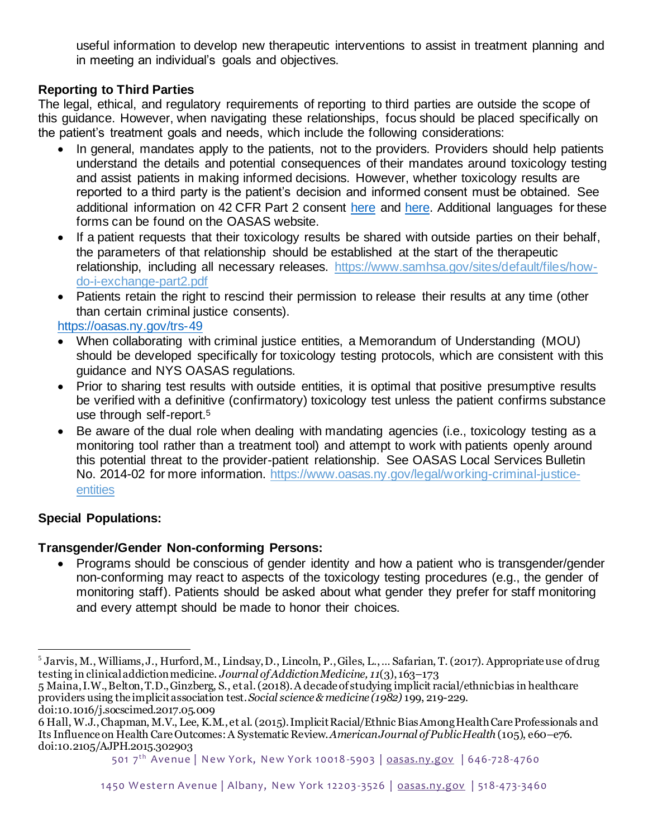useful information to develop new therapeutic interventions to assist in treatment planning and in meeting an individual's goals and objectives.

## **Reporting to Third Parties**

The legal, ethical, and regulatory requirements of reporting to third parties are outside the scope of this guidance. However, when navigating these relationships, focus should be placed specifically on the patient's treatment goals and needs, which include the following considerations:

- In general, mandates apply to the patients, not to the providers. Providers should help patients understand the details and potential consequences of their mandates around toxicology testing and assist patients in making informed decisions. However, whether toxicology results are reported to a third party is the patient's decision and informed consent must be obtained. See additional information on 42 CFR Part 2 consent [here](https://oasas.ny.gov/trs-2) and [here.](https://oasas.ny.gov/trs-1) Additional languages for these forms can be found on the OASAS website.
- If a patient requests that their toxicology results be shared with outside parties on their behalf, the parameters of that relationship should be established at the start of the therapeutic relationship, including all necessary releases. [https://www.samhsa.gov/sites/default/files/how](https://www.samhsa.gov/sites/default/files/how-do-i-exchange-part2.pdf)[do-i-exchange-part2.pdf](https://www.samhsa.gov/sites/default/files/how-do-i-exchange-part2.pdf)
- Patients retain the right to rescind their permission to release their results at any time (other than certain criminal justice consents).

<https://oasas.ny.gov/trs-49>

- When collaborating with criminal justice entities, a Memorandum of Understanding (MOU) should be developed specifically for toxicology testing protocols, which are consistent with this guidance and NYS OASAS regulations.
- Prior to sharing test results with outside entities, it is optimal that positive presumptive results be verified with a definitive (confirmatory) toxicology test unless the patient confirms substance use through self-report.<sup>5</sup>
- Be aware of the dual role when dealing with mandating agencies (i.e., toxicology testing as a monitoring tool rather than a treatment tool) and attempt to work with patients openly around this potential threat to the provider-patient relationship. See OASAS Local Services Bulletin No. 2014-02 for more information. [https://www.oasas.ny.gov/legal/working-criminal-justice](https://www.oasas.ny.gov/legal/working-criminal-justice-entities)[entities](https://www.oasas.ny.gov/legal/working-criminal-justice-entities)

### **Special Populations:**

### **Transgender/Gender Non-conforming Persons:**

• Programs should be conscious of gender identity and how a patient who is transgender/gender non-conforming may react to aspects of the toxicology testing procedures (e.g., the gender of monitoring staff). Patients should be asked about what gender they prefer for staff monitoring and every attempt should be made to honor their choices.

<sup>5</sup> Jarvis, M., Williams, J., Hurford, M., Lindsay, D., Lincoln, P., Giles, L., … Safarian, T. (2017). Appropriate use of drug testing in clinical addiction medicine. *Journal of Addiction Medicine, 11*(3), 163–173

<sup>5</sup> Maina, I.W., Belton, T.D., Ginzberg, S., et al.(2018). A decade of studying implicit racial/ethnic bias in healthcare providers using the implicit association test.*Social science & medicine (1982)* 199, 219-229. doi:10.1016/j.socscimed.2017.05.009

<sup>6</sup> Hall, W.J., Chapman, M.V., Lee, K.M., et al. (2015). Implicit Racial/Ethnic Bias Among Health Care Professionals and Its Influence on Health Care Outcomes: A Systematic Review. *American Journal of Public Health* (105), e60–e76. doi:10.2105/AJPH.2015.302903

<sup>501 7&</sup>lt;sup>th</sup> Avenue | New York, New York 10018-5903 | [oasas.ny.gov](http://www.oasas.ny.gov/) | 646-728-4760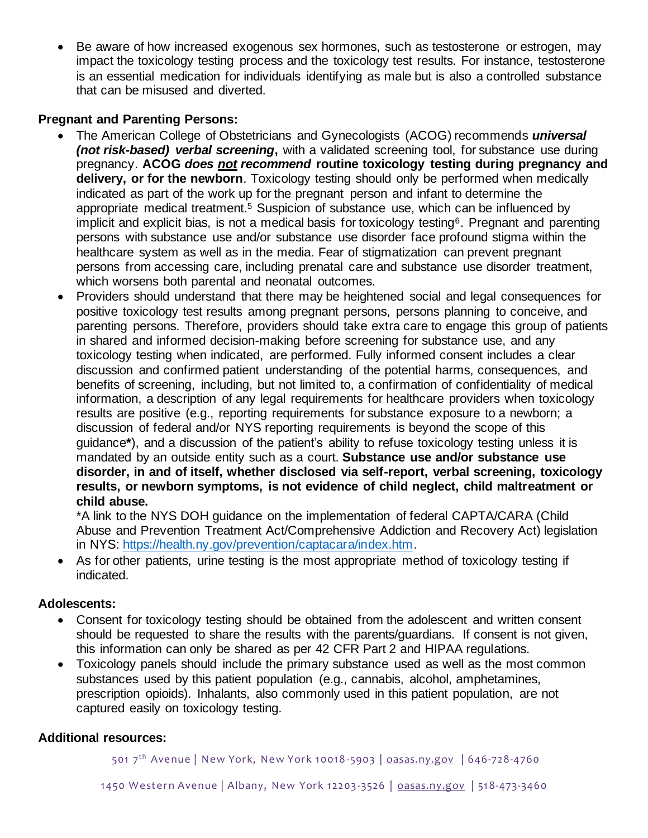• Be aware of how increased exogenous sex hormones, such as testosterone or estrogen, may impact the toxicology testing process and the toxicology test results. For instance, testosterone is an essential medication for individuals identifying as male but is also a controlled substance that can be misused and diverted.

#### **Pregnant and Parenting Persons:**

- The American College of Obstetricians and Gynecologists (ACOG) recommends *universal (not risk-based) verbal screening***,** with a validated screening tool, for substance use during pregnancy. **ACOG** *does not recommend* **routine toxicology testing during pregnancy and delivery, or for the newborn**. Toxicology testing should only be performed when medically indicated as part of the work up for the pregnant person and infant to determine the appropriate medical treatment.<sup>5</sup> Suspicion of substance use, which can be influenced by implicit and explicit bias, is not a medical basis for toxicology testing<sup>6</sup>. Pregnant and parenting persons with substance use and/or substance use disorder face profound stigma within the healthcare system as well as in the media. Fear of stigmatization can prevent pregnant persons from accessing care, including prenatal care and substance use disorder treatment, which worsens both parental and neonatal outcomes.
- Providers should understand that there may be heightened social and legal consequences for positive toxicology test results among pregnant persons, persons planning to conceive, and parenting persons. Therefore, providers should take extra care to engage this group of patients in shared and informed decision-making before screening for substance use, and any toxicology testing when indicated, are performed. Fully informed consent includes a clear discussion and confirmed patient understanding of the potential harms, consequences, and benefits of screening, including, but not limited to, a confirmation of confidentiality of medical information, a description of any legal requirements for healthcare providers when toxicology results are positive (e.g., reporting requirements for substance exposure to a newborn; a discussion of federal and/or NYS reporting requirements is beyond the scope of this guidance**\***), and a discussion of the patient's ability to refuse toxicology testing unless it is mandated by an outside entity such as a court. **Substance use and/or substance use disorder, in and of itself, whether disclosed via self-report, verbal screening, toxicology results, or newborn symptoms, is not evidence of child neglect, child maltreatment or child abuse.**

\*A link to the NYS DOH guidance on the implementation of federal CAPTA/CARA (Child Abuse and Prevention Treatment Act/Comprehensive Addiction and Recovery Act) legislation in NYS: [https://health.ny.gov/prevention/captacara/index.htm.](https://health.ny.gov/prevention/captacara/index.htm)

• As for other patients, urine testing is the most appropriate method of toxicology testing if indicated.

#### **Adolescents:**

- Consent for toxicology testing should be obtained from the adolescent and written consent should be requested to share the results with the parents/guardians. If consent is not given, this information can only be shared as per 42 CFR Part 2 and HIPAA regulations.
- Toxicology panels should include the primary substance used as well as the most common substances used by this patient population (e.g., cannabis, alcohol, amphetamines, prescription opioids). Inhalants, also commonly used in this patient population, are not captured easily on toxicology testing.

#### **Additional resources:**

501 7<sup>th</sup> Avenue | New York, New York 10018-5903 | [oasas.ny.gov](http://www.oasas.ny.gov/) | 646-728-4760